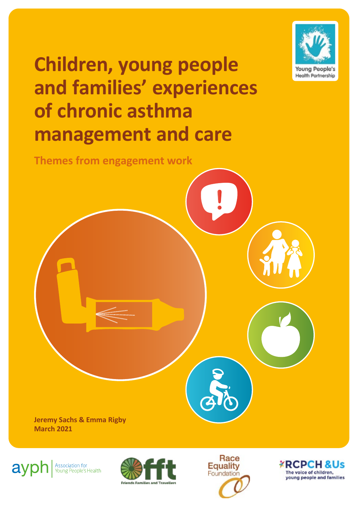

# **Children, young people and families' experiences of chronic asthma management and care**

**Themes from engagement work**

**Jeremy Sachs & Emma Rigby March 2021**



Association for<br>Young People's Health





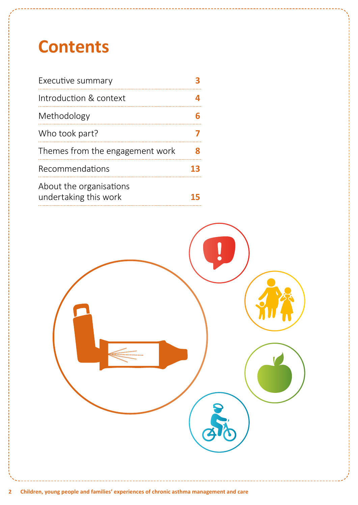# **Contents**

| Executive summary                                |    |
|--------------------------------------------------|----|
| Introduction & context                           |    |
| Methodology                                      |    |
| Who took part?                                   |    |
| Themes from the engagement work                  | Я  |
| Recommendations                                  | 13 |
| About the organisations<br>undertaking this work |    |

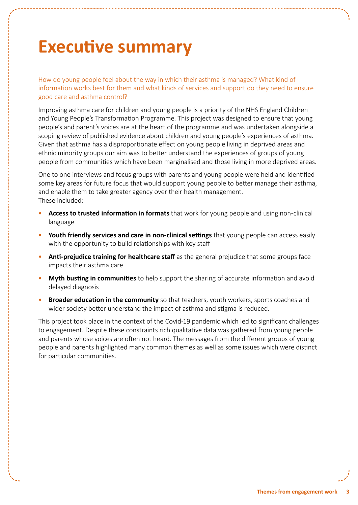## <span id="page-2-0"></span>**Executive summary**

How do young people feel about the way in which their asthma is managed? What kind of information works best for them and what kinds of services and support do they need to ensure good care and asthma control?

Improving asthma care for children and young people is a priority of the NHS England Children and Young People's Transformation Programme. This project was designed to ensure that young people's and parent's voices are at the heart of the programme and was undertaken alongside a scoping review of published evidence about children and young people's experiences of asthma. Given that asthma has a disproportionate effect on young people living in deprived areas and ethnic minority groups our aim was to better understand the experiences of groups of young people from communities which have been marginalised and those living in more deprived areas.

One to one interviews and focus groups with parents and young people were held and identified some key areas for future focus that would support young people to better manage their asthma, and enable them to take greater agency over their health management. These included:

- **Access to trusted information in formats** that work for young people and using non-clinical language
- **Youth friendly services and care in non-clinical settings** that young people can access easily with the opportunity to build relationships with key staff
- **Anti-prejudice training for healthcare staff** as the general prejudice that some groups face impacts their asthma care
- **Myth busting in communities** to help support the sharing of accurate information and avoid delayed diagnosis
- **Broader education in the community** so that teachers, youth workers, sports coaches and wider society better understand the impact of asthma and stigma is reduced.

This project took place in the context of the Covid-19 pandemic which led to significant challenges to engagement. Despite these constraints rich qualitative data was gathered from young people and parents whose voices are often not heard. The messages from the different groups of young people and parents highlighted many common themes as well as some issues which were distinct for particular communities.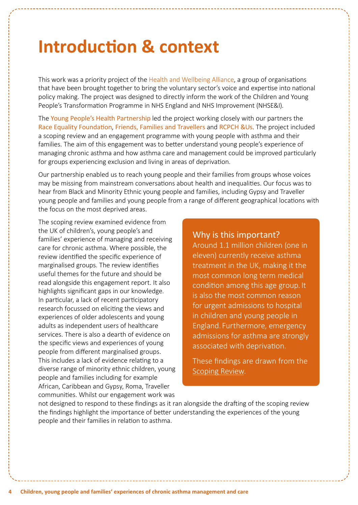## <span id="page-3-0"></span>**Introduction & context**

This work was a priority project of the [Health and Wellbeing Alliance](https://www.england.nhs.uk/hwalliance/), a group of organisations that have been brought together to bring the voluntary sector's voice and expertise into national policy making. The project was designed to directly inform the work of the Children and Young People's Transformation Programme in NHS England and NHS Improvement (NHSE&I).

The [Young People's Health Partnership](https://www.youngpeopleshealth.org.uk/yphp) led the project working closely with our partners the [Race Equality Foundation](https://raceequalityfoundation.org.uk/), [Friends, Families and Travellers](https://www.gypsy-traveller.org/) and [RCPCH &Us](https://www.rcpch.ac.uk/work-we-do/rcpch-and-us). The project included a scoping review and an engagement programme with young people with asthma and their families. The aim of this engagement was to better understand young people's experience of managing chronic asthma and how asthma care and management could be improved particularly for groups experiencing exclusion and living in areas of deprivation.

Our partnership enabled us to reach young people and their families from groups whose voices may be missing from mainstream conversations about health and inequalities. Our focus was to hear from Black and Minority Ethnic young people and families, including Gypsy and Traveller young people and families and young people from a range of different geographical locations with the focus on the most deprived areas.

The scoping review examined evidence from the UK of children's, young people's and families' experience of managing and receiving care for chronic asthma. Where possible, the review identified the specific experience of marginalised groups. The review identifies useful themes for the future and should be read alongside this engagement report. It also highlights significant gaps in our knowledge. In particular, a lack of recent participatory research focussed on eliciting the views and experiences of older adolescents and young adults as independent users of healthcare services. There is also a dearth of evidence on the specific views and experiences of young people from different marginalised groups. This includes a lack of evidence relating to a diverse range of minority ethnic children, young people and families including for example African, Caribbean and Gypsy, Roma, Traveller communities. Whilst our engagement work was

Why is this important? Around 1.1 million children (one in eleven) currently receive asthma treatment in the UK, making it the most common long term medical condition among this age group. It is also the most common reason for urgent admissions to hospital in children and young people in England. Furthermore, emergency admissions for asthma are strongly associated with deprivation.

These findings are drawn from the [Scoping Review.](https://www.youngpeopleshealth.org.uk/asthma)

not designed to respond to these findings as it ran alongside the drafting of the scoping review the findings highlight the importance of better understanding the experiences of the young people and their families in relation to asthma.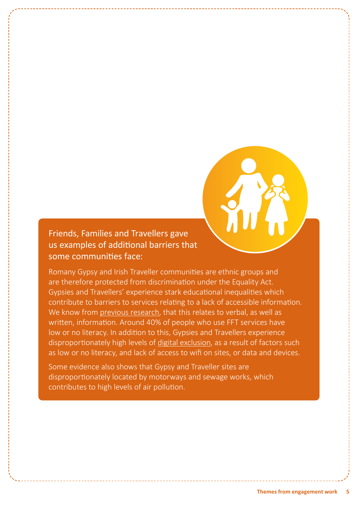

### Friends, Families and Travellers gave us examples of additional barriers that some communities face:

Romany Gypsy and Irish Traveller communities are ethnic groups and are therefore protected from discrimination under the Equality Act. Gypsies and Travellers' experience stark educational inequalities which contribute to barriers to services relating to a lack of accessible information. We know from [previous research,](https://raceequalityfoundation.org.uk/) that this relates to verbal, as well as written, information. Around 40% of people who use FFT services have low or no literacy. In addition to this, Gypsies and Travellers experience disproportionately high levels of [digital exclusion](https://www.gypsy-traveller.org/wp-content/uploads/2018/09/Digital-Inclusion-in-Gypsy-and-Traveller-communities-FINAL-1.pdf), as a result of factors such as low or no literacy, and lack of access to wifi on sites, or data and devices.

Some evidence also shows that Gypsy and Traveller sites are disproportionately located by motorways and sewage works, which contributes to high levels of air pollution.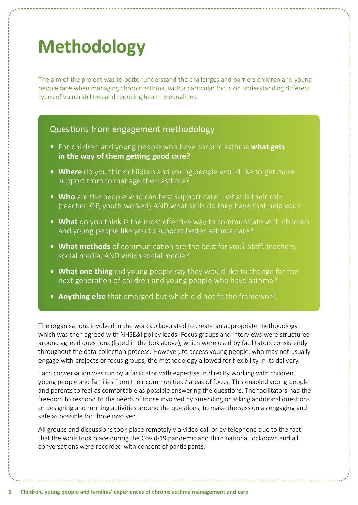# <span id="page-5-0"></span>**Methodology**

The aim of the project was to better understand the challenges and barriers children and young people face when managing chronic asthma, with a particular focus on understanding different types of vulnerabilities and reducing health inequalities.

### Questions from engagement methodology

- **•** For children and young people who have chronic asthma **what gets in the way of them getting good care?**
- **• Where** do you think children and young people would like to get more support from to manage their asthma?
- **• Who** are the people who can best support care what is their role (teacher, GP, youth worked) AND what skills do they have that help you?
- **• What** do you think is the most effective way to communicate with children and young people like you to support better asthma care?
- **• What methods** of communication are the best for you? Staff, teachers, social media, AND which social media?
- **• What one thing** did young people say they would like to change for the next generation of children and young people who have asthma?
- **• Anything else** that emerged but which did not fit the framework.

The organisations involved in the work collaborated to create an appropriate methodology which was then agreed with NHSE&I policy leads. Focus groups and interviews were structured around agreed questions (listed in the box above), which were used by facilitators consistently throughout the data collection process. However, to access young people, who may not usually engage with projects or focus groups, the methodology allowed for flexibility in its delivery.

Each conversation was run by a facilitator with expertise in directly working with children, young people and families from their communities / areas of focus. This enabled young people and parents to feel as comfortable as possible answering the questions. The facilitators had the freedom to respond to the needs of those involved by amending or asking additional questions or designing and running activities around the questions, to make the session as engaging and safe as possible for those involved.

All groups and discussions took place remotely via video call or by telephone due to the fact that the work took place during the Covid-19 pandemic and third national lockdown and all conversations were recorded with consent of participants.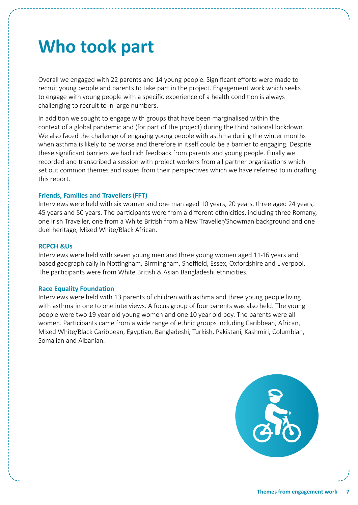## <span id="page-6-0"></span>**Who took part**

Overall we engaged with 22 parents and 14 young people. Significant efforts were made to recruit young people and parents to take part in the project. Engagement work which seeks to engage with young people with a specific experience of a health condition is always challenging to recruit to in large numbers.

In addition we sought to engage with groups that have been marginalised within the context of a global pandemic and (for part of the project) during the third national lockdown. We also faced the challenge of engaging young people with asthma during the winter months when asthma is likely to be worse and therefore in itself could be a barrier to engaging. Despite these significant barriers we had rich feedback from parents and young people. Finally we recorded and transcribed a session with project workers from all partner organisations which set out common themes and issues from their perspectives which we have referred to in drafting this report.

#### **Friends, Families and Travellers (FFT)**

Interviews were held with six women and one man aged 10 years, 20 years, three aged 24 years, 45 years and 50 years. The participants were from a different ethnicities, including three Romany, one Irish Traveller, one from a White British from a New Traveller/Showman background and one duel heritage, Mixed White/Black African.

#### **RCPCH &Us**

Interviews were held with seven young men and three young women aged 11-16 years and based geographically in Nottingham, Birmingham, Sheffield, Essex, Oxfordshire and Liverpool. The participants were from White British & Asian Bangladeshi ethnicities.

#### **Race Equality Foundation**

Interviews were held with 13 parents of children with asthma and three young people living with asthma in one to one interviews. A focus group of four parents was also held. The young people were two 19 year old young women and one 10 year old boy. The parents were all women. Participants came from a wide range of ethnic groups including Caribbean, African, Mixed White/Black Caribbean, Egyptian, Bangladeshi, Turkish, Pakistani, Kashmiri, Columbian, Somalian and Albanian.

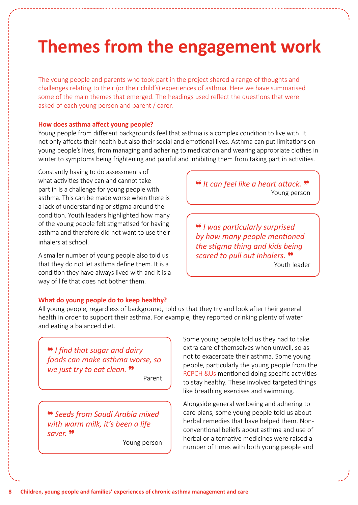## <span id="page-7-0"></span>**Themes from the engagement work**

The young people and parents who took part in the project shared a range of thoughts and challenges relating to their (or their child's) experiences of asthma. Here we have summarised some of the main themes that emerged. The headings used reflect the questions that were asked of each young person and parent / carer.

#### **How does asthma affect young people?**

Young people from different backgrounds feel that asthma is a complex condition to live with. It not only affects their health but also their social and emotional lives. Asthma can put limitations on young people's lives, from managing and adhering to medication and wearing appropriate clothes in winter to symptoms being frightening and painful and inhibiting them from taking part in activities.

Constantly having to do assessments of what activities they can and cannot take part in is a challenge for young people with asthma. This can be made worse when there is a lack of understanding or stigma around the condition. Youth leaders highlighted how many of the young people felt stigmatised for having asthma and therefore did not want to use their inhalers at school.

A smaller number of young people also told us that they do not let asthma define them. It is a condition they have always lived with and it is a way of life that does not bother them.

**What do young people do to keep healthy?** 

All young people, regardless of background, told us that they try and look after their general health in order to support their asthma. For example, they reported drinking plenty of water and eating a balanced diet.

❝ *I find that sugar and dairy foods can make asthma worse, so we just try to eat clean.* ❞

Parent

❝ *Seeds from Saudi Arabia mixed with warm milk, it's been a life saver.* ❞

Young person

Some young people told us they had to take extra care of themselves when unwell, so as not to exacerbate their asthma. Some young people, particularly the young people from the RCPCH &Us mentioned doing specific activities to stay healthy. These involved targeted things like breathing exercises and swimming.

Alongside general wellbeing and adhering to care plans, some young people told us about herbal remedies that have helped them. Nonconventional beliefs about asthma and use of herbal or alternative medicines were raised a number of times with both young people and

❝ *It can feel like a heart attack.* ❞ Young person

❝ *I was particularly surprised by how many people mentioned the stigma thing and kids being scared to pull out inhalers.* ❞ Youth leader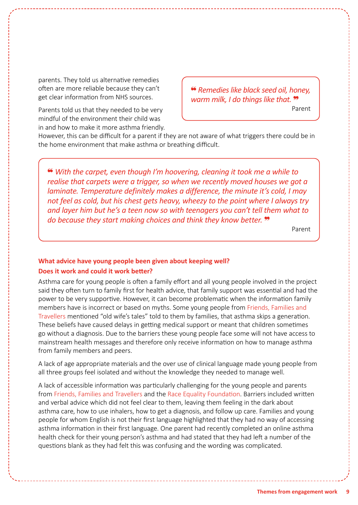parents. They told us alternative remedies often are more reliable because they can't get clear information from NHS sources.

Parents told us that they needed to be very mindful of the environment their child was in and how to make it more asthma friendly. ❝ *Remedies like black seed oil, honey, warm milk, I do things like that.* ❞

Parent

However, this can be difficult for a parent if they are not aware of what triggers there could be in the home environment that make asthma or breathing difficult.

❝ *With the carpet, even though I'm hoovering, cleaning it took me a while to realise that carpets were a trigger, so when we recently moved houses we got a laminate. Temperature definitely makes a difference, the minute it's cold, I may not feel as cold, but his chest gets heavy, wheezy to the point where I always try and layer him but he's a teen now so with teenagers you can't tell them what to do because they start making choices and think they know better.*  $\cdot$ 

Parent

### **What advice have young people been given about keeping well? Does it work and could it work better?**

Asthma care for young people is often a family effort and all young people involved in the project said they often turn to family first for health advice, that family support was essential and had the power to be very supportive. However, it can become problematic when the information family members have is incorrect or based on myths. Some young people from Friends, Families and Travellers mentioned "old wife's tales" told to them by families, that asthma skips a generation. These beliefs have caused delays in getting medical support or meant that children sometimes go without a diagnosis. Due to the barriers these young people face some will not have access to mainstream health messages and therefore only receive information on how to manage asthma from family members and peers.

A lack of age appropriate materials and the over use of clinical language made young people from all three groups feel isolated and without the knowledge they needed to manage well.

A lack of accessible information was particularly challenging for the young people and parents from Friends, Families and Travellers and the Race Equality Foundation. Barriers included written and verbal advice which did not feel clear to them, leaving them feeling in the dark about asthma care, how to use inhalers, how to get a diagnosis, and follow up care. Families and young people for whom English is not their first language highlighted that they had no way of accessing asthma information in their first language. One parent had recently completed an online asthma health check for their young person's asthma and had stated that they had left a number of the questions blank as they had felt this was confusing and the wording was complicated.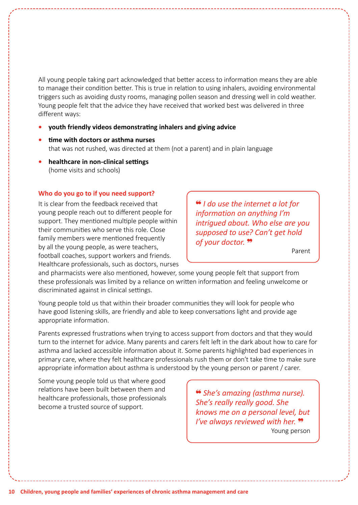All young people taking part acknowledged that better access to information means they are able to manage their condition better. This is true in relation to using inhalers, avoiding environmental triggers such as avoiding dusty rooms, managing pollen season and dressing well in cold weather. Young people felt that the advice they have received that worked best was delivered in three different ways:

#### **• youth friendly videos demonstrating inhalers and giving advice**

- **• time with doctors or asthma nurses** that was not rushed, was directed at them (not a parent) and in plain language
- **• healthcare in non-clinical settings** (home visits and schools)

#### **Who do you go to if you need support?**

It is clear from the feedback received that young people reach out to different people for support. They mentioned multiple people within their communities who serve this role. Close family members were mentioned frequently by all the young people, as were teachers, football coaches, support workers and friends. Healthcare professionals, such as doctors, nurses ❝ *I do use the internet a lot for information on anything I'm intrigued about. Who else are you supposed to use? Can't get hold of your doctor.* ❞

Parent

and pharmacists were also mentioned, however, some young people felt that support from these professionals was limited by a reliance on written information and feeling unwelcome or discriminated against in clinical settings.

Young people told us that within their broader communities they will look for people who have good listening skills, are friendly and able to keep conversations light and provide age appropriate information.

Parents expressed frustrations when trying to access support from doctors and that they would turn to the internet for advice. Many parents and carers felt left in the dark about how to care for asthma and lacked accessible information about it. Some parents highlighted bad experiences in primary care, where they felt healthcare professionals rush them or don't take time to make sure appropriate information about asthma is understood by the young person or parent / carer.

Some young people told us that where good relations have been built between them and healthcare professionals, those professionals become a trusted source of support.

❝ *She's amazing (asthma nurse). She's really really good. She knows me on a personal level, but I've always reviewed with her.*  $\frac{99}{2}$ Young person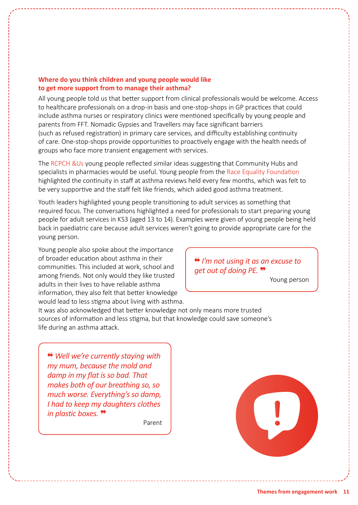### **Where do you think children and young people would like to get more support from to manage their asthma?**

All young people told us that better support from clinical professionals would be welcome. Access to healthcare professionals on a drop-in basis and one-stop-shops in GP practices that could include asthma nurses or respiratory clinics were mentioned specifically by young people and parents from FFT. Nomadic Gypsies and Travellers may face significant barriers (such as refused registration) in primary care services, and difficulty establishing continuity of care. One-stop-shops provide opportunities to proactively engage with the health needs of groups who face more transient engagement with services.

The RCPCH &Us young people reflected similar ideas suggesting that Community Hubs and specialists in pharmacies would be useful. Young people from the Race Equality Foundation highlighted the continuity in staff at asthma reviews held every few months, which was felt to be very supportive and the staff felt like friends, which aided good asthma treatment.

Youth leaders highlighted young people transitioning to adult services as something that required focus. The conversations highlighted a need for professionals to start preparing young people for adult services in KS3 (aged 13 to 14). Examples were given of young people being held back in paediatric care because adult services weren't going to provide appropriate care for the young person.

Young people also spoke about the importance of broader education about asthma in their communities. This included at work, school and among friends. Not only would they like trusted adults in their lives to have reliable asthma information, they also felt that better knowledge would lead to less stigma about living with asthma.

❝ *I'm not using it as an excuse to get out of doing PE.* ❞

Young person

It was also acknowledged that better knowledge not only means more trusted sources of information and less stigma, but that knowledge could save someone's life during an asthma attack.

❝ *Well we're currently staying with my mum, because the mold and damp in my flat is so bad. That makes both of our breathing so, so much worse. Everything's so damp, I had to keep my daughters clothes in plastic boxes.* ❞

Parent

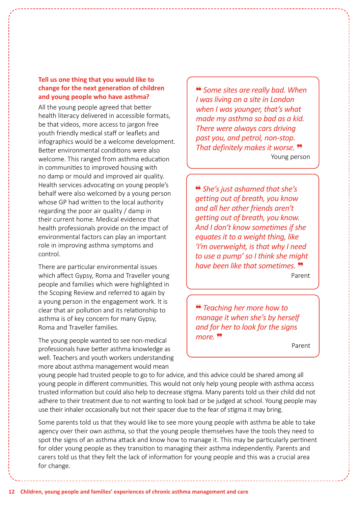### **Tell us one thing that you would like to change for the next generation of children and young people who have asthma?**

All the young people agreed that better health literacy delivered in accessible formats, be that videos, more access to jargon free youth friendly medical staff or leaflets and infographics would be a welcome development. Better environmental conditions were also welcome. This ranged from asthma education in communities to improved housing with no damp or mould and improved air quality. Health services advocating on young people's behalf were also welcomed by a young person whose GP had written to the local authority regarding the poor air quality / damp in their current home. Medical evidence that health professionals provide on the impact of environmental factors can play an important role in improving asthma symptoms and control.

There are particular environmental issues which affect Gypsy, Roma and Traveller young people and families which were highlighted in the Scoping Review and referred to again by a young person in the engagement work. It is clear that air pollution and its relationship to asthma is of key concern for many Gypsy, Roma and Traveller families.

The young people wanted to see non-medical professionals have better asthma knowledge as well. Teachers and youth workers understanding more about asthma management would mean

❝ *Some sites are really bad. When I was living on a site in London when I was younger, that's what made my asthma so bad as a kid. There were always cars driving past you, and petrol, non-stop. That definitely makes it worse.* ❞ Young person

❝ *She's just ashamed that she's getting out of breath, you know and all her other friends aren't getting out of breath, you know. And I don't know sometimes if she equates it to a weight thing, like 'I'm overweight, is that why I need to use a pump' so I think she might have been like that sometimes.* ❞Parent

❝ *Teaching her more how to manage it when she's by herself and for her to look for the signs more.* ❞

Parent

young people had trusted people to go to for advice, and this advice could be shared among all young people in different communities. This would not only help young people with asthma access trusted information but could also help to decrease stigma. Many parents told us their child did not adhere to their treatment due to not wanting to look bad or be judged at school. Young people may use their inhaler occasionally but not their spacer due to the fear of stigma it may bring.

Some parents told us that they would like to see more young people with asthma be able to take agency over their own asthma, so that the young people themselves have the tools they need to spot the signs of an asthma attack and know how to manage it. This may be particularly pertinent for older young people as they transition to managing their asthma independently. Parents and carers told us that they felt the lack of information for young people and this was a crucial area for change.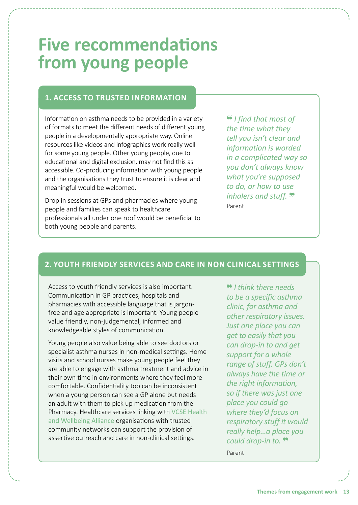## <span id="page-12-0"></span>**Five recommendations from young people**

### **1. ACCESS TO TRUSTED INFORMATION**

Information on asthma needs to be provided in a variety of formats to meet the different needs of different young people in a developmentally appropriate way. Online resources like videos and infographics work really well for some young people. Other young people, due to educational and digital exclusion, may not find this as accessible. Co-producing information with young people and the organisations they trust to ensure it is clear and meaningful would be welcomed.

Drop in sessions at GPs and pharmacies where young people and families can speak to healthcare professionals all under one roof would be beneficial to both young people and parents.

❝ *I find that most of the time what they tell you isn't clear and information is worded in a complicated way so you don't always know what you're supposed to do, or how to use inhalers and stuff.* ❞ Parent

### **2. YOUTH FRIENDLY SERVICES AND CARE IN NON CLINICAL SETTINGS**

Access to youth friendly services is also important. Communication in GP practices, hospitals and pharmacies with accessible language that is jargonfree and age appropriate is important. Young people value friendly, non-judgemental, informed and knowledgeable styles of communication.

Young people also value being able to see doctors or specialist asthma nurses in non-medical settings. Home visits and school nurses make young people feel they are able to engage with asthma treatment and advice in their own time in environments where they feel more comfortable. Confidentiality too can be inconsistent when a young person can see a GP alone but needs an adult with them to pick up medication from the Pharmacy. Healthcare services linking with VCSE Health and Wellbeing Alliance organisations with trusted community networks can support the provision of assertive outreach and care in non-clinical settings.

❝ *I think there needs to be a specific asthma clinic, for asthma and other respiratory issues. Just one place you can get to easily that you can drop-in to and get support for a whole range of stuff. GPs don't always have the time or the right information, so if there was just one place you could go where they'd focus on respiratory stuff it would really help…a place you could drop-in to.* ❞

Parent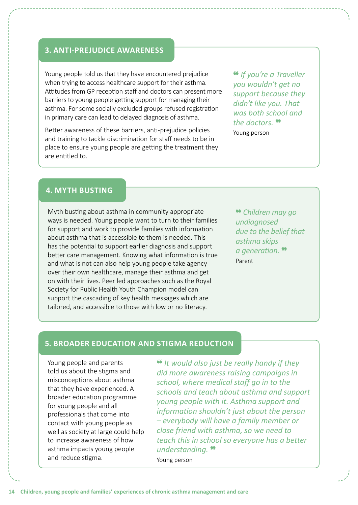### **3. ANTI-PREJUDICE AWARENESS**

Young people told us that they have encountered prejudice when trying to access healthcare support for their asthma. Attitudes from GP reception staff and doctors can present more barriers to young people getting support for managing their asthma. For some socially excluded groups refused registration in primary care can lead to delayed diagnosis of asthma.

Better awareness of these barriers, anti-prejudice policies and training to tackle discrimination for staff needs to be in place to ensure young people are getting the treatment they are entitled to.

❝ *If you're a Traveller you wouldn't get no support because they didn't like you. That was both school and the doctors.* ❞ Young person

### **4. MYTH BUSTING**

Myth busting about asthma in community appropriate ways is needed. Young people want to turn to their families for support and work to provide families with information about asthma that is accessible to them is needed. This has the potential to support earlier diagnosis and support better care management. Knowing what information is true and what is not can also help young people take agency over their own healthcare, manage their asthma and get on with their lives. Peer led approaches such as the Royal Society for Public Health Youth Champion model can support the cascading of key health messages which are tailored, and accessible to those with low or no literacy.

❝ *Children may go undiagnosed due to the belief that asthma skips a generation.* ❞ Parent

### **5. BROADER EDUCATION AND STIGMA REDUCTION**

Young people and parents told us about the stigma and misconceptions about asthma that they have experienced. A broader education programme for young people and all professionals that come into contact with young people as well as society at large could help to increase awareness of how asthma impacts young people and reduce stigma.

❝ *It would also just be really handy if they did more awareness raising campaigns in school, where medical staff go in to the schools and teach about asthma and support young people with it. Asthma support and information shouldn't just about the person – everybody will have a family member or close friend with asthma, so we need to teach this in school so everyone has a better understanding.* ❞ Young person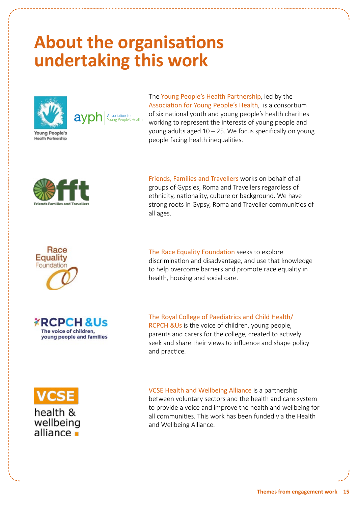## <span id="page-14-0"></span>**About the organisations undertaking this work**



**Health Partnership** 

.<br>Association for<br>Young People's Health avpr

The [Young People's Health Partnership](https://www.youngpeopleshealth.org.uk/yphp), led by the [Association for Young People's Health](https://www.youngpeopleshealth.org.uk/), is a consortium of six national youth and young people's health charities working to represent the interests of young people and young adults aged 10 – 25. We focus specifically on young people facing health inequalities.



[Friends, Families and Travellers](https://www.gypsy-traveller.org/) works on behalf of all groups of Gypsies, Roma and Travellers regardless of ethnicity, nationality, culture or background. We have strong roots in Gypsy, Roma and Traveller communities of all ages.



**XRCPCH &Us** The voice of children, young people and families [The Race Equality Foundation](https://raceequalityfoundation.org.uk/) seeks to explore discrimination and disadvantage, and use that knowledge to help overcome barriers and promote race equality in health, housing and social care.

[The Royal College of Paediatrics and Child Health/](https://www.rcpch.ac.uk/work-we-do/rcpch-and-us) [RCPCH &Us](https://www.rcpch.ac.uk/work-we-do/rcpch-and-us) is the voice of children, young people, parents and carers for the college, created to actively seek and share their views to influence and shape policy and practice.



[VCSE Health and Wellbeing Alliance](https://www.england.nhs.uk/hwalliance/) is a partnership between voluntary sectors and the health and care system to provide a voice and improve the health and wellbeing for all communities. This work has been funded via the Health and Wellbeing Alliance.